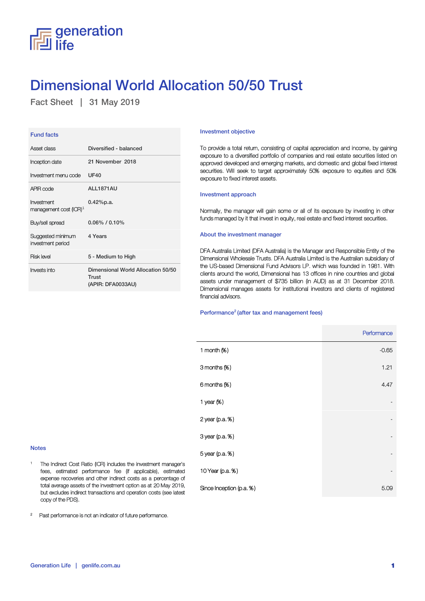## $\equiv$  generation il life!

# Dimensional World Allocation 50/50 Trust

Fact Sheet | 31 May 2019

| <b>Fund facts</b>                                |                                                                  |
|--------------------------------------------------|------------------------------------------------------------------|
| Asset class                                      | Diversified - balanced                                           |
| Inception date                                   | 21 November 2018                                                 |
| Investment menu code                             | UF40                                                             |
| APIR code                                        | ALL1871AU                                                        |
| Investment<br>management cost (ICR) <sup>1</sup> | $0.42%$ p.a.                                                     |
| Buy/sell spread                                  | $0.06\%$ / $0.10\%$                                              |
|                                                  |                                                                  |
| Suggested minimum<br>investment period           | 4 Years                                                          |
| <b>Risk level</b>                                | 5 - Medium to High                                               |
| Invests into                                     | Dimensional World Allocation 50/50<br>Trust<br>(APIR: DFA0033AU) |

### Investment objective

To provide a total return, consisting of capital appreciation and income, by gaining exposure to a diversified portfolio of companies and real estate securities listed on approved developed and emerging markets, and domestic and global fixed interest securities. Will seek to target approximately 50% exposure to equities and 50% exposure to fixed interest assets.

### Investment approach

Normally, the manager will gain some or all of its exposure by investing in other funds managed by it that invest in equity, real estate and fixed interest securities.

#### About the investment manager

DFA Australia Limited (DFA Australia) is the Manager and Responsible Entity of the Dimensional Wholesale Trusts. DFA Australia Limited is the Australian subsidiary of the US-based Dimensional Fund Advisors LP. which was founded in 1981. With clients around the world, Dimensional has 13 offices in nine countries and global assets under management of \$735 billion (in AUD) as at 31 December 2018. Dimensional manages assets for institutional investors and clients of registered financial advisors.

### Performance<sup>2</sup> (after tax and management fees)

|                                                     | Performance              |
|-----------------------------------------------------|--------------------------|
| 1 month $(X)$                                       | $-0.65$                  |
| 3 months (%)                                        | 1.21                     |
| 6 months (%)                                        | 4.47                     |
| 1 year (%)                                          |                          |
| 2 year (p.a. %)                                     |                          |
| 3 year (p.a. %)                                     | -                        |
| 5 year (p.a. %)                                     | $\overline{\phantom{a}}$ |
| ger's<br>10 Year (p.a. %)<br>ated                   |                          |
| ge of<br>2019,<br>Since Inception (p.a. %)<br>atest | 5.09                     |

### Notes

1 The Indirect Cost Ratio (ICR) includes the investment mana fees, estimated performance fee (if applicable), estim expense recoveries and other indirect costs as a percentag total average assets of the investment option as at 20 May 2 but excludes indirect transactions and operation costs (see la copy of the PDS).

<sup>2</sup> Past performance is not an indicator of future performance.